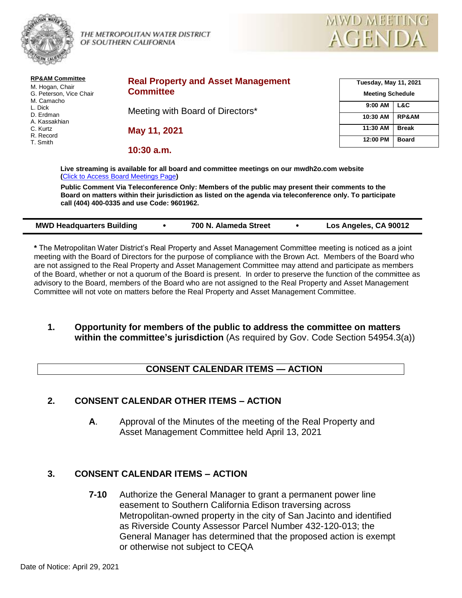

THE METROPOLITAN WATER DISTRICT  $\bigwedge_{\mathcal{A}} \bigcap_{\mathcal{E}} \bigwedge_{\mathcal{D}} \bigcap \bigwedge_{\mathcal{D}} \bigwedge_{\mathcal{D}} \bigcup_{\mathcal{D}} \bigwedge_{\mathcal{D}} \bigcup_{\mathcal{D}} \bigwedge_{\mathcal{D}} \bigcup_{\mathcal{D}} \bigwedge_{\mathcal{D}} \bigcup_{\mathcal{D}} \bigwedge_{\mathcal{D}} \bigcup_{\mathcal{D}} \bigwedge_{\mathcal{D}} \bigcup_{\mathcal{D}} \bigwedge_{\mathcal{D}} \bigcup_{\$ 



| <b>RP&amp;AM Committee</b><br>M. Hogan, Chair<br>G. Peterson, Vice Chair<br>M. Camacho<br>L. Dick<br>D. Erdman<br>A. Kassakhian<br>C. Kurtz<br>R. Record<br>T. Smith | <b>Real Property and Asset Management</b><br><b>Committee</b> | <b>Tuesday, May 11, 2021</b><br><b>Meeting Schedule</b> |                         |
|----------------------------------------------------------------------------------------------------------------------------------------------------------------------|---------------------------------------------------------------|---------------------------------------------------------|-------------------------|
|                                                                                                                                                                      | Meeting with Board of Directors*                              | 9:00 AM<br>10:30 AM                                     | L&C<br><b>RP&amp;AM</b> |
|                                                                                                                                                                      | May 11, 2021                                                  | 11:30 AM                                                | <b>Break</b>            |
|                                                                                                                                                                      | $10:30$ a.m.                                                  | 12:00 PM                                                | <b>Board</b>            |

**Live streaming is available for all board and committee meetings on our mwdh2o.com website (**[Click to Access Board Meetings Page](http://www.mwdh2o.com/WhoWeAre/Board/Board-Meeting/Pages/default.aspx)**)**

**Public Comment Via Teleconference Only: Members of the public may present their comments to the Board on matters within their jurisdiction as listed on the agenda via teleconference only. To participate call (404) 400-0335 and use Code: 9601962.**

| <b>MWD Headquarters Building</b> | 700 N. Alameda Street | Los Angeles, CA 90012 |
|----------------------------------|-----------------------|-----------------------|
|                                  |                       |                       |

**\*** The Metropolitan Water District's Real Property and Asset Management Committee meeting is noticed as a joint meeting with the Board of Directors for the purpose of compliance with the Brown Act. Members of the Board who are not assigned to the Real Property and Asset Management Committee may attend and participate as members of the Board, whether or not a quorum of the Board is present. In order to preserve the function of the committee as advisory to the Board, members of the Board who are not assigned to the Real Property and Asset Management Committee will not vote on matters before the Real Property and Asset Management Committee.

**1. Opportunity for members of the public to address the committee on matters within the committee's jurisdiction** (As required by Gov. Code Section 54954.3(a))

### **CONSENT CALENDAR ITEMS — ACTION**

### **2. CONSENT CALENDAR OTHER ITEMS – ACTION**

**A**. Approval of the Minutes of the meeting of the Real Property and Asset Management Committee held April 13, 2021

### **3. CONSENT CALENDAR ITEMS – ACTION**

**7-10** Authorize the General Manager to grant a permanent power line easement to Southern California Edison traversing across Metropolitan-owned property in the city of San Jacinto and identified as Riverside County Assessor Parcel Number 432-120-013; the General Manager has determined that the proposed action is exempt or otherwise not subject to CEQA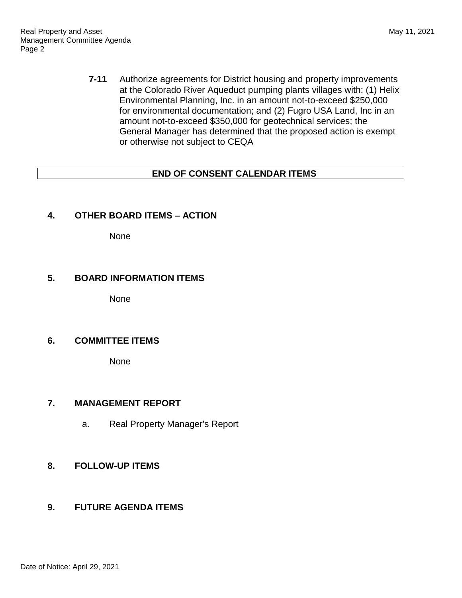**7-11** Authorize agreements for District housing and property improvements at the Colorado River Aqueduct pumping plants villages with: (1) Helix Environmental Planning, Inc. in an amount not-to-exceed \$250,000 for environmental documentation; and (2) Fugro USA Land, Inc in an amount not-to-exceed \$350,000 for geotechnical services; the General Manager has determined that the proposed action is exempt or otherwise not subject to CEQA

# **END OF CONSENT CALENDAR ITEMS**

## **4. OTHER BOARD ITEMS – ACTION**

None

#### **5. BOARD INFORMATION ITEMS**

None

### **6. COMMITTEE ITEMS**

None

#### **7. MANAGEMENT REPORT**

a. Real Property Manager's Report

## **8. FOLLOW-UP ITEMS**

### **9. FUTURE AGENDA ITEMS**